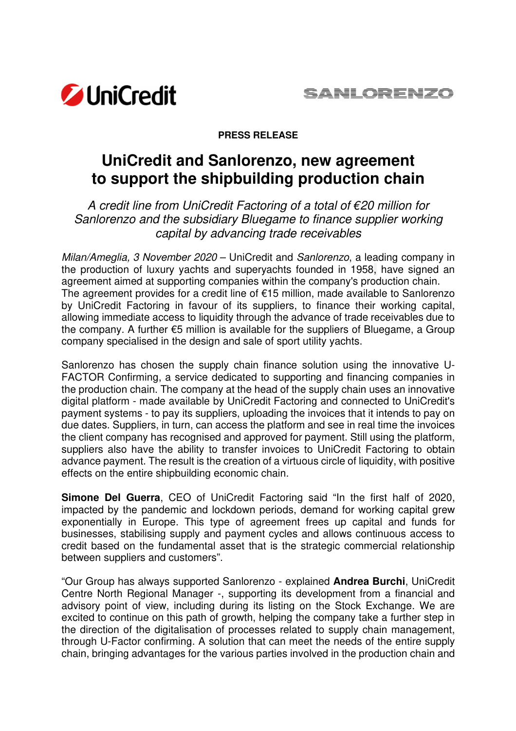

## **PRESS RELEASE**

## **UniCredit and Sanlorenzo, new agreement to support the shipbuilding production chain**

A credit line from UniCredit Factoring of a total of €20 million for Sanlorenzo and the subsidiary Bluegame to finance supplier working capital by advancing trade receivables

Milan/Ameglia, 3 November 2020 – UniCredit and Sanlorenzo, a leading company in the production of luxury yachts and superyachts founded in 1958, have signed an agreement aimed at supporting companies within the company's production chain. The agreement provides for a credit line of €15 million, made available to Sanlorenzo by UniCredit Factoring in favour of its suppliers, to finance their working capital, allowing immediate access to liquidity through the advance of trade receivables due to the company. A further €5 million is available for the suppliers of Bluegame, a Group company specialised in the design and sale of sport utility yachts.

Sanlorenzo has chosen the supply chain finance solution using the innovative U-FACTOR Confirming, a service dedicated to supporting and financing companies in the production chain. The company at the head of the supply chain uses an innovative digital platform - made available by UniCredit Factoring and connected to UniCredit's payment systems - to pay its suppliers, uploading the invoices that it intends to pay on due dates. Suppliers, in turn, can access the platform and see in real time the invoices the client company has recognised and approved for payment. Still using the platform, suppliers also have the ability to transfer invoices to UniCredit Factoring to obtain advance payment. The result is the creation of a virtuous circle of liquidity, with positive effects on the entire shipbuilding economic chain.

**Simone Del Guerra**, CEO of UniCredit Factoring said "In the first half of 2020, impacted by the pandemic and lockdown periods, demand for working capital grew exponentially in Europe. This type of agreement frees up capital and funds for businesses, stabilising supply and payment cycles and allows continuous access to credit based on the fundamental asset that is the strategic commercial relationship between suppliers and customers".

"Our Group has always supported Sanlorenzo - explained **Andrea Burchi**, UniCredit Centre North Regional Manager -, supporting its development from a financial and advisory point of view, including during its listing on the Stock Exchange. We are excited to continue on this path of growth, helping the company take a further step in the direction of the digitalisation of processes related to supply chain management, through U-Factor confirming. A solution that can meet the needs of the entire supply chain, bringing advantages for the various parties involved in the production chain and